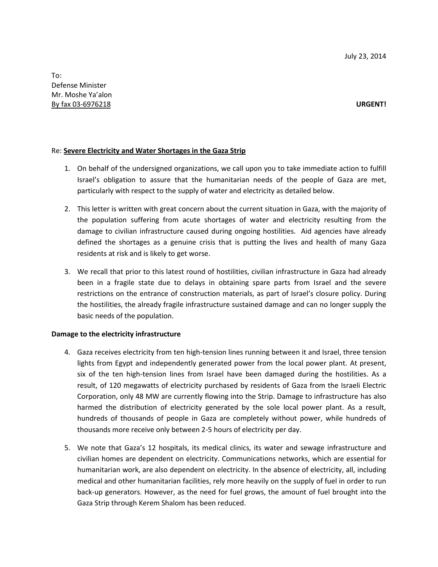## Re: **Severe Electricity and Water Shortages in the Gaza Strip**

- 1. On behalf of the undersigned organizations, we call upon you to take immediate action to fulfill Israel's obligation to assure that the humanitarian needs of the people of Gaza are met, particularly with respect to the supply of water and electricity as detailed below.
- 2. This letter is written with great concern about the current situation in Gaza, with the majority of the population suffering from acute shortages of water and electricity resulting from the damage to civilian infrastructure caused during ongoing hostilities. Aid agencies have already defined the shortages as a genuine crisis that is putting the lives and health of many Gaza residents at risk and is likely to get worse.
- 3. We recall that prior to this latest round of hostilities, civilian infrastructure in Gaza had already been in a fragile state due to delays in obtaining spare parts from Israel and the severe restrictions on the entrance of construction materials, as part of Israel's closure policy. During the hostilities, the already fragile infrastructure sustained damage and can no longer supply the basic needs of the population.

### **Damage to the electricity infrastructure**

- 4. Gaza receives electricity from ten high-tension lines running between it and Israel, three tension lights from Egypt and independently generated power from the local power plant. At present, six of the ten high-tension lines from Israel have been damaged during the hostilities. As a result, of 120 megawatts of electricity purchased by residents of Gaza from the Israeli Electric Corporation, only 48 MW are currently flowing into the Strip. Damage to infrastructure has also harmed the distribution of electricity generated by the sole local power plant. As a result, hundreds of thousands of people in Gaza are completely without power, while hundreds of thousands more receive only between 2-5 hours of electricity per day.
- 5. We note that Gaza's 12 hospitals, its medical clinics, its water and sewage infrastructure and civilian homes are dependent on electricity. Communications networks, which are essential for humanitarian work, are also dependent on electricity. In the absence of electricity, all, including medical and other humanitarian facilities, rely more heavily on the supply of fuel in order to run back-up generators. However, as the need for fuel grows, the amount of fuel brought into the Gaza Strip through Kerem Shalom has been reduced.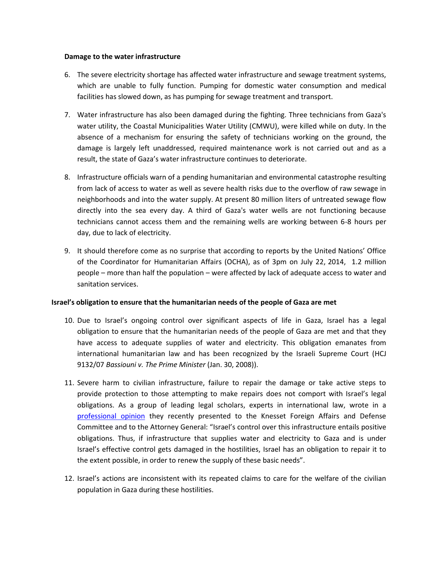### **Damage to the water infrastructure**

- 6. The severe electricity shortage has affected water infrastructure and sewage treatment systems, which are unable to fully function. Pumping for domestic water consumption and medical facilities has slowed down, as has pumping for sewage treatment and transport.
- 7. Water infrastructure has also been damaged during the fighting. Three technicians from Gaza's water utility, the Coastal Municipalities Water Utility (CMWU), were killed while on duty. In the absence of a mechanism for ensuring the safety of technicians working on the ground, the damage is largely left unaddressed, required maintenance work is not carried out and as a result, the state of Gaza's water infrastructure continues to deteriorate.
- 8. Infrastructure officials warn of a pending humanitarian and environmental catastrophe resulting from lack of access to water as well as severe health risks due to the overflow of raw sewage in neighborhoods and into the water supply. At present 80 million liters of untreated sewage flow directly into the sea every day. A third of Gaza's water wells are not functioning because technicians cannot access them and the remaining wells are working between 6-8 hours per day, due to lack of electricity.
- 9. It should therefore come as no surprise that according to reports by the United Nations' Office of the Coordinator for Humanitarian Affairs (OCHA), as of 3pm on July 22, 2014, 1.2 million people – more than half the population – were affected by lack of adequate access to water and sanitation services.

### **Israel's obligation to ensure that the humanitarian needs of the people of Gaza are met**

- 10. Due to Israel's ongoing control over significant aspects of life in Gaza, Israel has a legal obligation to ensure that the humanitarian needs of the people of Gaza are met and that they have access to adequate supplies of water and electricity. This obligation emanates from international humanitarian law and has been recognized by the Israeli Supreme Court (HCJ 9132/07 *Bassiouni v. The Prime Minister* (Jan. 30, 2008)).
- 11. Severe harm to civilian infrastructure, failure to repair the damage or take active steps to provide protection to those attempting to make repairs does not comport with Israel's legal obligations. As a group of leading legal scholars, experts in international law, wrote in a [professional opinion](http://gisha.org/UserFiles/File/publications/letters/letter-en-20-7-14.pdf) they recently presented to the Knesset Foreign Affairs and Defense Committee and to the Attorney General: "Israel's control over this infrastructure entails positive obligations. Thus, if infrastructure that supplies water and electricity to Gaza and is under Israel's effective control gets damaged in the hostilities, Israel has an obligation to repair it to the extent possible, in order to renew the supply of these basic needs".
- 12. Israel's actions are inconsistent with its repeated claims to care for the welfare of the civilian population in Gaza during these hostilities.